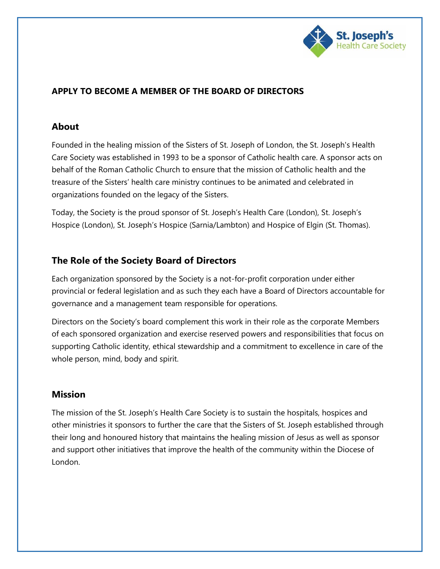

#### **APPLY TO BECOME A MEMBER OF THE BOARD OF DIRECTORS**

#### **About**

Founded in the healing mission of the Sisters of St. Joseph of London, the St. Joseph's Health Care Society was established in 1993 to be a sponsor of Catholic health care. A sponsor acts on behalf of the Roman Catholic Church to ensure that the mission of Catholic health and the treasure of the Sisters' health care ministry continues to be animated and celebrated in organizations founded on the legacy of the Sisters.

Today, the Society is the proud sponsor of St. Joseph's Health Care (London), St. Joseph's Hospice (London), St. Joseph's Hospice (Sarnia/Lambton) and Hospice of Elgin (St. Thomas).

### **The Role of the Society Board of Directors**

Each organization sponsored by the Society is a not-for-profit corporation under either provincial or federal legislation and as such they each have a Board of Directors accountable for governance and a management team responsible for operations.

Directors on the Society's board complement this work in their role as the corporate Members of each sponsored organization and exercise reserved powers and responsibilities that focus on supporting Catholic identity, ethical stewardship and a commitment to excellence in care of the whole person, mind, body and spirit.

#### **Mission**

The mission of the St. Joseph's Health Care Society is to sustain the hospitals, hospices and other ministries it sponsors to further the care that the Sisters of St. Joseph established through their long and honoured history that maintains the healing mission of Jesus as well as sponsor and support other initiatives that improve the health of the community within the Diocese of London.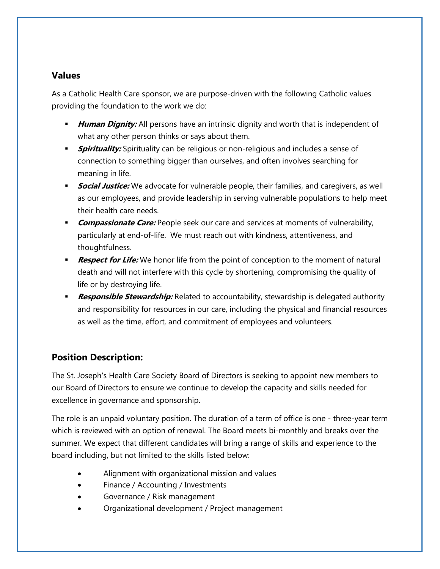#### **Values**

As a Catholic Health Care sponsor, we are purpose-driven with the following Catholic values providing the foundation to the work we do:

- *Human Dignity:* All persons have an intrinsic dignity and worth that is independent of what any other person thinks or says about them.
- **Spirituality:** Spirituality can be religious or non-religious and includes a sense of connection to something bigger than ourselves, and often involves searching for meaning in life.
- **Social Justice:** We advocate for vulnerable people, their families, and caregivers, as well as our employees, and provide leadership in serving vulnerable populations to help meet their health care needs.
- **Compassionate Care:** People seek our care and services at moments of vulnerability, particularly at end-of-life. We must reach out with kindness, attentiveness, and thoughtfulness.
- **Respect for Life:** We honor life from the point of conception to the moment of natural death and will not interfere with this cycle by shortening, compromising the quality of life or by destroying life.
- **Responsible Stewardship:** Related to accountability, stewardship is delegated authority and responsibility for resources in our care, including the physical and financial resources as well as the time, effort, and commitment of employees and volunteers.

## **Position Description:**

The St. Joseph's Health Care Society Board of Directors is seeking to appoint new members to our Board of Directors to ensure we continue to develop the capacity and skills needed for excellence in governance and sponsorship.

The role is an unpaid voluntary position. The duration of a term of office is one - three-year term which is reviewed with an option of renewal. The Board meets bi-monthly and breaks over the summer. We expect that different candidates will bring a range of skills and experience to the board including, but not limited to the skills listed below:

- Alignment with organizational mission and values
- Finance / Accounting / Investments
- Governance / Risk management
- Organizational development / Project management